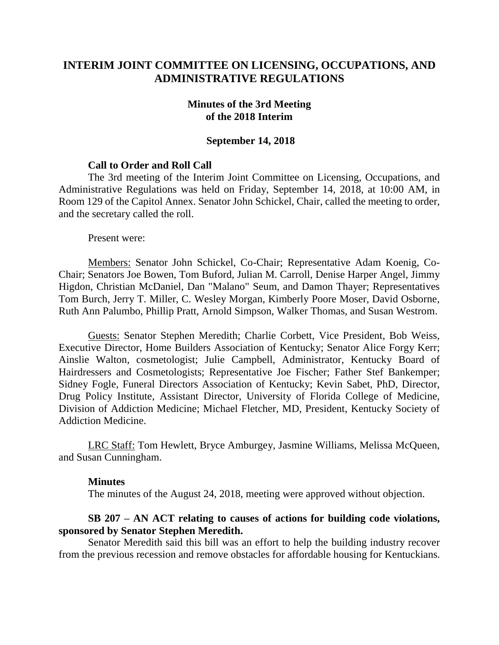# **INTERIM JOINT COMMITTEE ON LICENSING, OCCUPATIONS, AND ADMINISTRATIVE REGULATIONS**

#### **Minutes of the 3rd Meeting of the 2018 Interim**

#### **September 14, 2018**

#### **Call to Order and Roll Call**

The 3rd meeting of the Interim Joint Committee on Licensing, Occupations, and Administrative Regulations was held on Friday, September 14, 2018, at 10:00 AM, in Room 129 of the Capitol Annex. Senator John Schickel, Chair, called the meeting to order, and the secretary called the roll.

Present were:

Members: Senator John Schickel, Co-Chair; Representative Adam Koenig, Co-Chair; Senators Joe Bowen, Tom Buford, Julian M. Carroll, Denise Harper Angel, Jimmy Higdon, Christian McDaniel, Dan "Malano" Seum, and Damon Thayer; Representatives Tom Burch, Jerry T. Miller, C. Wesley Morgan, Kimberly Poore Moser, David Osborne, Ruth Ann Palumbo, Phillip Pratt, Arnold Simpson, Walker Thomas, and Susan Westrom.

Guests: Senator Stephen Meredith; Charlie Corbett, Vice President, Bob Weiss, Executive Director, Home Builders Association of Kentucky; Senator Alice Forgy Kerr; Ainslie Walton, cosmetologist; Julie Campbell, Administrator, Kentucky Board of Hairdressers and Cosmetologists; Representative Joe Fischer; Father Stef Bankemper; Sidney Fogle, Funeral Directors Association of Kentucky; Kevin Sabet, PhD, Director, Drug Policy Institute, Assistant Director, University of Florida College of Medicine, Division of Addiction Medicine; Michael Fletcher, MD, President, Kentucky Society of Addiction Medicine.

LRC Staff: Tom Hewlett, Bryce Amburgey, Jasmine Williams, Melissa McQueen, and Susan Cunningham.

## **Minutes**

The minutes of the August 24, 2018, meeting were approved without objection.

## **SB 207 – AN ACT relating to causes of actions for building code violations, sponsored by Senator Stephen Meredith.**

Senator Meredith said this bill was an effort to help the building industry recover from the previous recession and remove obstacles for affordable housing for Kentuckians.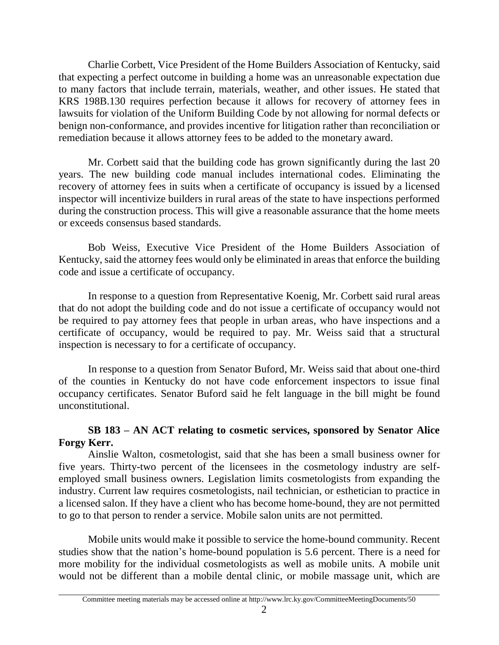Charlie Corbett, Vice President of the Home Builders Association of Kentucky, said that expecting a perfect outcome in building a home was an unreasonable expectation due to many factors that include terrain, materials, weather, and other issues. He stated that KRS 198B.130 requires perfection because it allows for recovery of attorney fees in lawsuits for violation of the Uniform Building Code by not allowing for normal defects or benign non-conformance, and provides incentive for litigation rather than reconciliation or remediation because it allows attorney fees to be added to the monetary award.

Mr. Corbett said that the building code has grown significantly during the last 20 years. The new building code manual includes international codes. Eliminating the recovery of attorney fees in suits when a certificate of occupancy is issued by a licensed inspector will incentivize builders in rural areas of the state to have inspections performed during the construction process. This will give a reasonable assurance that the home meets or exceeds consensus based standards.

Bob Weiss, Executive Vice President of the Home Builders Association of Kentucky, said the attorney fees would only be eliminated in areas that enforce the building code and issue a certificate of occupancy.

In response to a question from Representative Koenig, Mr. Corbett said rural areas that do not adopt the building code and do not issue a certificate of occupancy would not be required to pay attorney fees that people in urban areas, who have inspections and a certificate of occupancy, would be required to pay. Mr. Weiss said that a structural inspection is necessary to for a certificate of occupancy.

In response to a question from Senator Buford, Mr. Weiss said that about one-third of the counties in Kentucky do not have code enforcement inspectors to issue final occupancy certificates. Senator Buford said he felt language in the bill might be found unconstitutional.

# **SB 183 – AN ACT relating to cosmetic services, sponsored by Senator Alice Forgy Kerr.**

Ainslie Walton, cosmetologist, said that she has been a small business owner for five years. Thirty-two percent of the licensees in the cosmetology industry are selfemployed small business owners. Legislation limits cosmetologists from expanding the industry. Current law requires cosmetologists, nail technician, or esthetician to practice in a licensed salon. If they have a client who has become home-bound, they are not permitted to go to that person to render a service. Mobile salon units are not permitted.

Mobile units would make it possible to service the home-bound community. Recent studies show that the nation's home-bound population is 5.6 percent. There is a need for more mobility for the individual cosmetologists as well as mobile units. A mobile unit would not be different than a mobile dental clinic, or mobile massage unit, which are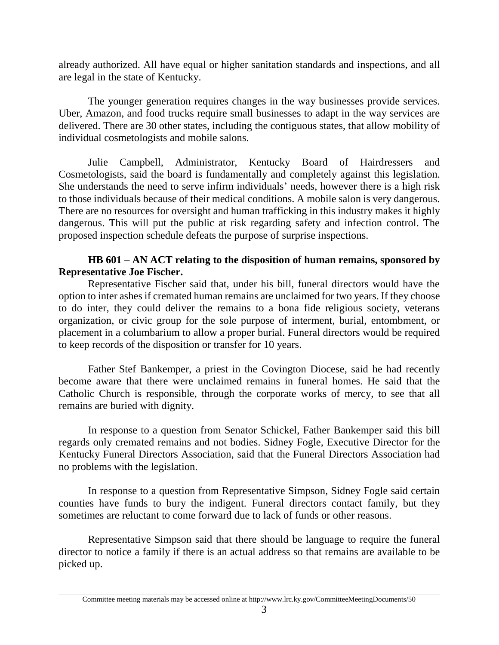already authorized. All have equal or higher sanitation standards and inspections, and all are legal in the state of Kentucky.

The younger generation requires changes in the way businesses provide services. Uber, Amazon, and food trucks require small businesses to adapt in the way services are delivered. There are 30 other states, including the contiguous states, that allow mobility of individual cosmetologists and mobile salons.

Julie Campbell, Administrator, Kentucky Board of Hairdressers and Cosmetologists, said the board is fundamentally and completely against this legislation. She understands the need to serve infirm individuals' needs, however there is a high risk to those individuals because of their medical conditions. A mobile salon is very dangerous. There are no resources for oversight and human trafficking in this industry makes it highly dangerous. This will put the public at risk regarding safety and infection control. The proposed inspection schedule defeats the purpose of surprise inspections.

# **HB 601 – AN ACT relating to the disposition of human remains, sponsored by Representative Joe Fischer.**

Representative Fischer said that, under his bill, funeral directors would have the option to inter ashes if cremated human remains are unclaimed for two years. If they choose to do inter, they could deliver the remains to a bona fide religious society, veterans organization, or civic group for the sole purpose of interment, burial, entombment, or placement in a columbarium to allow a proper burial. Funeral directors would be required to keep records of the disposition or transfer for 10 years.

Father Stef Bankemper, a priest in the Covington Diocese, said he had recently become aware that there were unclaimed remains in funeral homes. He said that the Catholic Church is responsible, through the corporate works of mercy, to see that all remains are buried with dignity.

In response to a question from Senator Schickel, Father Bankemper said this bill regards only cremated remains and not bodies. Sidney Fogle, Executive Director for the Kentucky Funeral Directors Association, said that the Funeral Directors Association had no problems with the legislation.

In response to a question from Representative Simpson, Sidney Fogle said certain counties have funds to bury the indigent. Funeral directors contact family, but they sometimes are reluctant to come forward due to lack of funds or other reasons.

Representative Simpson said that there should be language to require the funeral director to notice a family if there is an actual address so that remains are available to be picked up.

Committee meeting materials may be accessed online at http://www.lrc.ky.gov/CommitteeMeetingDocuments/50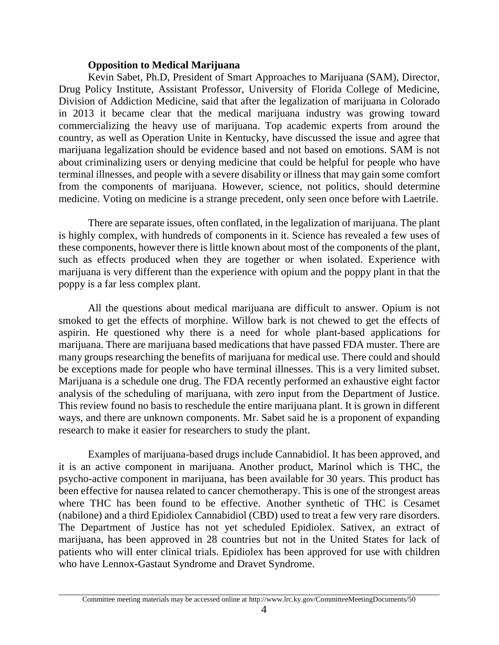## **Opposition to Medical Marijuana**

Kevin Sabet, Ph.D, President of Smart Approaches to Marijuana (SAM), Director, Drug Policy Institute, Assistant Professor, University of Florida College of Medicine, Division of Addiction Medicine, said that after the legalization of marijuana in Colorado in 2013 it became clear that the medical marijuana industry was growing toward commercializing the heavy use of marijuana. Top academic experts from around the country, as well as Operation Unite in Kentucky, have discussed the issue and agree that marijuana legalization should be evidence based and not based on emotions. SAM is not about criminalizing users or denying medicine that could be helpful for people who have terminal illnesses, and people with a severe disability or illness that may gain some comfort from the components of marijuana. However, science, not politics, should determine medicine. Voting on medicine is a strange precedent, only seen once before with Laetrile.

There are separate issues, often conflated, in the legalization of marijuana. The plant is highly complex, with hundreds of components in it. Science has revealed a few uses of these components, however there is little known about most of the components of the plant, such as effects produced when they are together or when isolated. Experience with marijuana is very different than the experience with opium and the poppy plant in that the poppy is a far less complex plant.

All the questions about medical marijuana are difficult to answer. Opium is not smoked to get the effects of morphine. Willow bark is not chewed to get the effects of aspirin. He questioned why there is a need for whole plant-based applications for marijuana. There are marijuana based medications that have passed FDA muster. There are many groups researching the benefits of marijuana for medical use. There could and should be exceptions made for people who have terminal illnesses. This is a very limited subset. Marijuana is a schedule one drug. The FDA recently performed an exhaustive eight factor analysis of the scheduling of marijuana, with zero input from the Department of Justice. This review found no basis to reschedule the entire marijuana plant. It is grown in different ways, and there are unknown components. Mr. Sabet said he is a proponent of expanding research to make it easier for researchers to study the plant.

Examples of marijuana-based drugs include Cannabidiol. It has been approved, and it is an active component in marijuana. Another product, Marinol which is THC, the psycho-active component in marijuana, has been available for 30 years. This product has been effective for nausea related to cancer chemotherapy. This is one of the strongest areas where THC has been found to be effective. Another synthetic of THC is Cesamet (nabilone) and a third Epidiolex Cannabidiol (CBD) used to treat a few very rare disorders. The Department of Justice has not yet scheduled Epidiolex. Sativex, an extract of marijuana, has been approved in 28 countries but not in the United States for lack of patients who will enter clinical trials. Epidiolex has been approved for use with children who have Lennox-Gastaut Syndrome and Dravet Syndrome.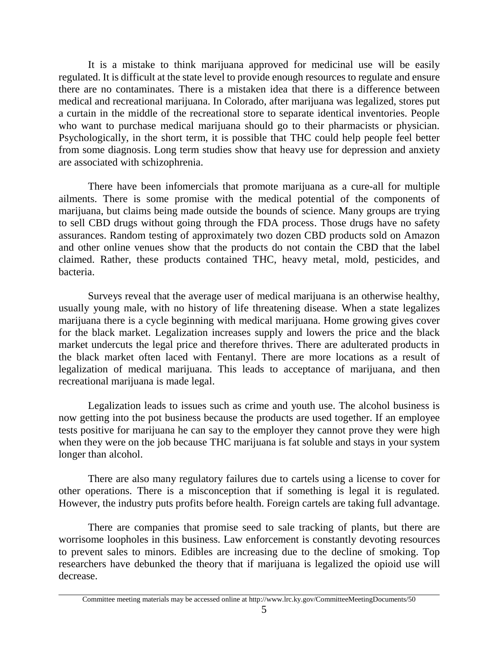It is a mistake to think marijuana approved for medicinal use will be easily regulated. It is difficult at the state level to provide enough resources to regulate and ensure there are no contaminates. There is a mistaken idea that there is a difference between medical and recreational marijuana. In Colorado, after marijuana was legalized, stores put a curtain in the middle of the recreational store to separate identical inventories. People who want to purchase medical marijuana should go to their pharmacists or physician. Psychologically, in the short term, it is possible that THC could help people feel better from some diagnosis. Long term studies show that heavy use for depression and anxiety are associated with schizophrenia.

There have been infomercials that promote marijuana as a cure-all for multiple ailments. There is some promise with the medical potential of the components of marijuana, but claims being made outside the bounds of science. Many groups are trying to sell CBD drugs without going through the FDA process. Those drugs have no safety assurances. Random testing of approximately two dozen CBD products sold on Amazon and other online venues show that the products do not contain the CBD that the label claimed. Rather, these products contained THC, heavy metal, mold, pesticides, and bacteria.

Surveys reveal that the average user of medical marijuana is an otherwise healthy, usually young male, with no history of life threatening disease. When a state legalizes marijuana there is a cycle beginning with medical marijuana. Home growing gives cover for the black market. Legalization increases supply and lowers the price and the black market undercuts the legal price and therefore thrives. There are adulterated products in the black market often laced with Fentanyl. There are more locations as a result of legalization of medical marijuana. This leads to acceptance of marijuana, and then recreational marijuana is made legal.

Legalization leads to issues such as crime and youth use. The alcohol business is now getting into the pot business because the products are used together. If an employee tests positive for marijuana he can say to the employer they cannot prove they were high when they were on the job because THC marijuana is fat soluble and stays in your system longer than alcohol.

There are also many regulatory failures due to cartels using a license to cover for other operations. There is a misconception that if something is legal it is regulated. However, the industry puts profits before health. Foreign cartels are taking full advantage.

There are companies that promise seed to sale tracking of plants, but there are worrisome loopholes in this business. Law enforcement is constantly devoting resources to prevent sales to minors. Edibles are increasing due to the decline of smoking. Top researchers have debunked the theory that if marijuana is legalized the opioid use will decrease.

Committee meeting materials may be accessed online at http://www.lrc.ky.gov/CommitteeMeetingDocuments/50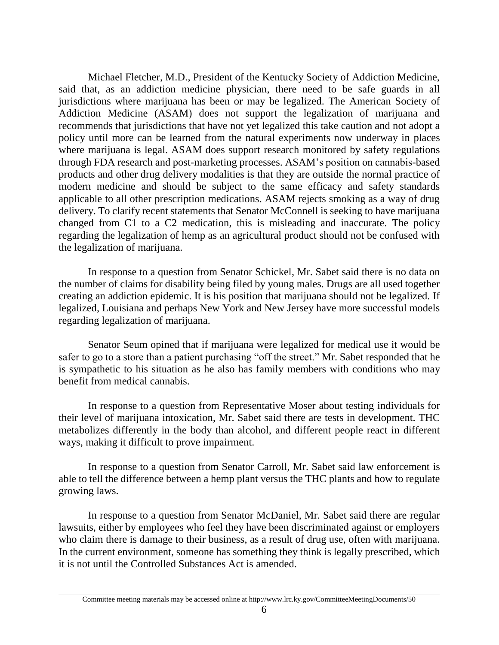Michael Fletcher, M.D., President of the Kentucky Society of Addiction Medicine, said that, as an addiction medicine physician, there need to be safe guards in all jurisdictions where marijuana has been or may be legalized. The American Society of Addiction Medicine (ASAM) does not support the legalization of marijuana and recommends that jurisdictions that have not yet legalized this take caution and not adopt a policy until more can be learned from the natural experiments now underway in places where marijuana is legal. ASAM does support research monitored by safety regulations through FDA research and post-marketing processes. ASAM's position on cannabis-based products and other drug delivery modalities is that they are outside the normal practice of modern medicine and should be subject to the same efficacy and safety standards applicable to all other prescription medications. ASAM rejects smoking as a way of drug delivery. To clarify recent statements that Senator McConnell is seeking to have marijuana changed from C1 to a C2 medication, this is misleading and inaccurate. The policy regarding the legalization of hemp as an agricultural product should not be confused with the legalization of marijuana.

In response to a question from Senator Schickel, Mr. Sabet said there is no data on the number of claims for disability being filed by young males. Drugs are all used together creating an addiction epidemic. It is his position that marijuana should not be legalized. If legalized, Louisiana and perhaps New York and New Jersey have more successful models regarding legalization of marijuana.

Senator Seum opined that if marijuana were legalized for medical use it would be safer to go to a store than a patient purchasing "off the street." Mr. Sabet responded that he is sympathetic to his situation as he also has family members with conditions who may benefit from medical cannabis.

In response to a question from Representative Moser about testing individuals for their level of marijuana intoxication, Mr. Sabet said there are tests in development. THC metabolizes differently in the body than alcohol, and different people react in different ways, making it difficult to prove impairment.

In response to a question from Senator Carroll, Mr. Sabet said law enforcement is able to tell the difference between a hemp plant versus the THC plants and how to regulate growing laws.

In response to a question from Senator McDaniel, Mr. Sabet said there are regular lawsuits, either by employees who feel they have been discriminated against or employers who claim there is damage to their business, as a result of drug use, often with marijuana. In the current environment, someone has something they think is legally prescribed, which it is not until the Controlled Substances Act is amended.

Committee meeting materials may be accessed online at http://www.lrc.ky.gov/CommitteeMeetingDocuments/50